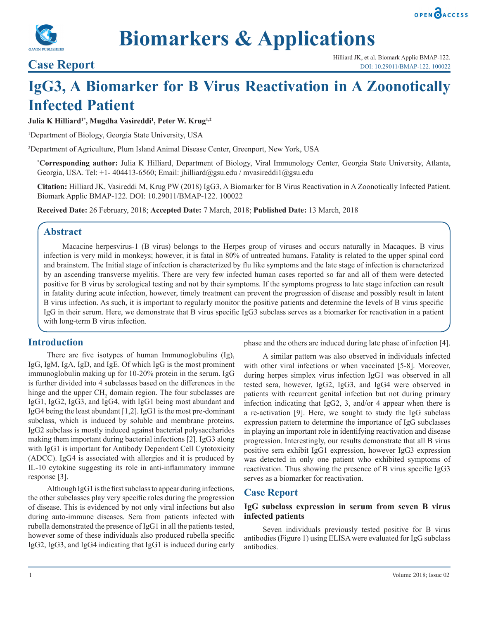



# **Biomarkers & Applications**

## **IgG3, A Biomarker for B Virus Reactivation in A Zoonotically Infected Patient**

**Julia K Hilliard1\*, Mugdha Vasireddi1 , Peter W. Krug1,2**

1 Department of Biology, Georgia State University, USA

2 Department of Agriculture, Plum Island Animal Disease Center, Greenport, New York, USA

**\* Corresponding author:** Julia K Hilliard, Department of Biology, Viral Immunology Center, Georgia State University, Atlanta, Georgia, USA. Tel: +1- 404413-6560; Email: jhilliard@gsu.edu / mvasireddi1@gsu.edu

**Citation:** Hilliard JK, Vasireddi M, Krug PW (2018) IgG3, A Biomarker for B Virus Reactivation in A Zoonotically Infected Patient. Biomark Applic BMAP-122. DOI: 10.29011/BMAP-122. 100022

**Received Date:** 26 February, 2018; **Accepted Date:** 7 March, 2018; **Published Date:** 13 March, 2018

### **Abstract**

Macacine herpesvirus-1 (B virus) belongs to the Herpes group of viruses and occurs naturally in Macaques. B virus infection is very mild in monkeys; however, it is fatal in 80% of untreated humans. Fatality is related to the upper spinal cord and brainstem. The Initial stage of infection is characterized by flu like symptoms and the late stage of infection is characterized by an ascending transverse myelitis. There are very few infected human cases reported so far and all of them were detected positive for B virus by serological testing and not by their symptoms. If the symptoms progress to late stage infection can result in fatality during acute infection, however, timely treatment can prevent the progression of disease and possibly result in latent B virus infection. As such, it is important to regularly monitor the positive patients and determine the levels of B virus specific IgG in their serum. Here, we demonstrate that B virus specific IgG3 subclass serves as a biomarker for reactivation in a patient with long-term B virus infection.

#### **Introduction**

There are five isotypes of human Immunoglobulins (Ig), IgG, IgM, IgA, IgD, and IgE. Of which IgG is the most prominent immunoglobulin making up for 10-20% protein in the serum. IgG is further divided into 4 subclasses based on the differences in the hinge and the upper  $\text{CH}_2$  domain region. The four subclasses are IgG1, IgG2, IgG3, and IgG4, with IgG1 being most abundant and IgG4 being the least abundant [1,2]. IgG1 is the most pre-dominant subclass, which is induced by soluble and membrane proteins. IgG2 subclass is mostly induced against bacterial polysaccharides making them important during bacterial infections [2]. IgG3 along with IgG1 is important for Antibody Dependent Cell Cytotoxicity (ADCC). IgG4 is associated with allergies and it is produced by IL-10 cytokine suggesting its role in anti-inflammatory immune response [3].

Although IgG1 is the first subclass to appear during infections, the other subclasses play very specific roles during the progression of disease. This is evidenced by not only viral infections but also during auto-immune diseases. Sera from patients infected with rubella demonstrated the presence of IgG1 in all the patients tested, however some of these individuals also produced rubella specific IgG2, IgG3, and IgG4 indicating that IgG1 is induced during early

phase and the others are induced during late phase of infection [4].

A similar pattern was also observed in individuals infected with other viral infections or when vaccinated [5-8]. Moreover, during herpes simplex virus infection IgG1 was observed in all tested sera, however, IgG2, IgG3, and IgG4 were observed in patients with recurrent genital infection but not during primary infection indicating that IgG2, 3, and/or 4 appear when there is a re-activation [9]. Here, we sought to study the IgG subclass expression pattern to determine the importance of IgG subclasses in playing an important role in identifying reactivation and disease progression. Interestingly, our results demonstrate that all B virus positive sera exhibit IgG1 expression, however IgG3 expression was detected in only one patient who exhibited symptoms of reactivation. Thus showing the presence of B virus specific IgG3 serves as a biomarker for reactivation.

#### **Case Report**

#### **IgG subclass expression in serum from seven B virus infected patients**

Seven individuals previously tested positive for B virus antibodies (Figure 1) using ELISA were evaluated for IgG subclass antibodies.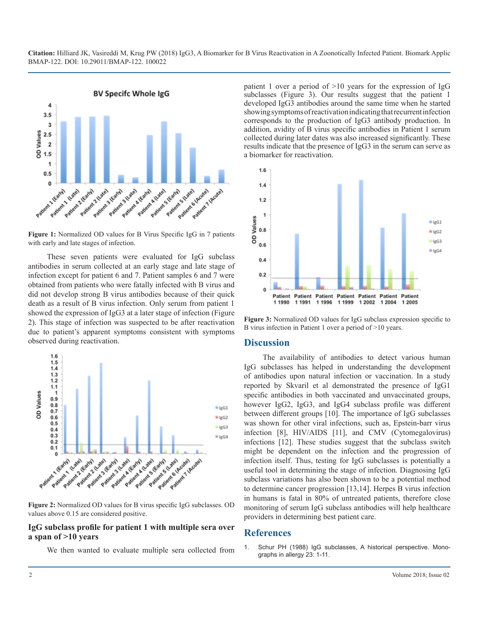

**Figure 1:** Normalized OD values for B Virus Specific IgG in 7 patients with early and late stages of infection.

These seven patients were evaluated for IgG subclass antibodies in serum collected at an early stage and late stage of infection except for patient 6 and 7. Patient samples 6 and 7 were obtained from patients who were fatally infected with B virus and did not develop strong B virus antibodies because of their quick death as a result of B virus infection. Only serum from patient 1 showed the expression of IgG3 at a later stage of infection (Figure 2). This stage of infection was suspected to be after reactivation due to patient's apparent symptoms consistent with symptoms observed during reactivation.



**Figure 2:** Normalized OD values for B virus specific IgG subclasses. OD values above 0.15 are considered positive.

#### **IgG subclass profile for patient 1 with multiple sera over a span of >10 years**

We then wanted to evaluate multiple sera collected from

patient 1 over a period of  $>10$  years for the expression of IgG subclasses (Figure 3). Our results suggest that the patient 1 developed IgG3 antibodies around the same time when he started showing symptoms of reactivation indicating that recurrent infection corresponds to the production of IgG3 antibody production. In addition, avidity of B virus specific antibodies in Patient 1 serum collected during later dates was also increased significantly. These results indicate that the presence of IgG3 in the serum can serve as a biomarker for reactivation.



**Figure 3:** Normalized OD values for IgG subclass expression specific to B virus infection in Patient 1 over a period of >10 years.

#### **Discussion**

The availability of antibodies to detect various human IgG subclasses has helped in understanding the development of antibodies upon natural infection or vaccination. In a study reported by Skvaril et al demonstrated the presence of IgG1 specific antibodies in both vaccinated and unvaccinated groups, however IgG2, IgG3, and IgG4 subclass profile was different between different groups [10]. The importance of IgG subclasses was shown for other viral infections, such as, Epstein-barr virus infection [8], HIV/AIDS [11], and CMV (Cytomegalovirus) infections [12]. These studies suggest that the subclass switch might be dependent on the infection and the progression of infection itself. Thus, testing for IgG subclasses is potentially a useful tool in determining the stage of infection. Diagnosing IgG subclass variations has also been shown to be a potential method to determine cancer progression [13,14]. Herpes B virus infection in humans is fatal in 80% of untreated patients, therefore close monitoring of serum IgG subclass antibodies will help healthcare providers in determining best patient care.

#### **References**

1. [Schur PH \(1988\) IgG subclasses, A historical perspective. Mono](https://www.ncbi.nlm.nih.gov/pubmed/3290655)graphs in allergy 23: 1-11.